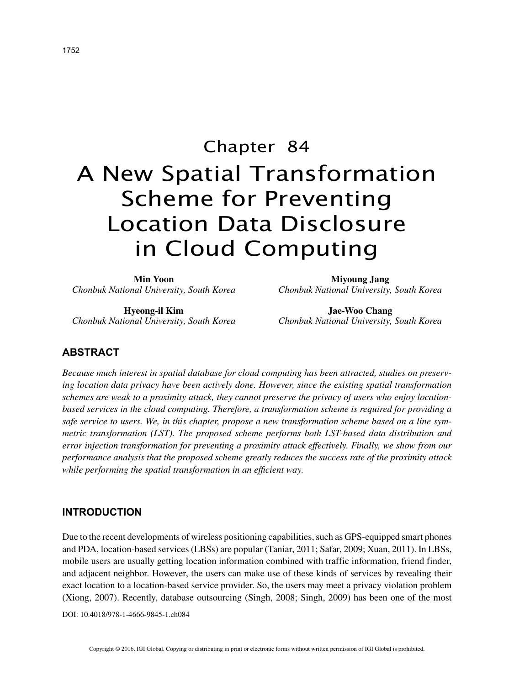# Chapter 84 A New Spatial Transformation Scheme for Preventing Location Data Disclosure in Cloud Computing

| Min Yoon                                 |  |  |  |
|------------------------------------------|--|--|--|
| Chonbuk National University, South Korea |  |  |  |

**Hyeong-il Kim** *Chonbuk National University, South Korea*

**Miyoung Jang** *Chonbuk National University, South Korea*

**Jae-Woo Chang** *Chonbuk National University, South Korea*

## **ABSTRACT**

*Because much interest in spatial database for cloud computing has been attracted, studies on preserving location data privacy have been actively done. However, since the existing spatial transformation schemes are weak to a proximity attack, they cannot preserve the privacy of users who enjoy locationbased services in the cloud computing. Therefore, a transformation scheme is required for providing a safe service to users. We, in this chapter, propose a new transformation scheme based on a line symmetric transformation (LST). The proposed scheme performs both LST-based data distribution and error injection transformation for preventing a proximity attack effectively. Finally, we show from our performance analysis that the proposed scheme greatly reduces the success rate of the proximity attack while performing the spatial transformation in an efficient way.*

## **INTRODUCTION**

Due to the recent developments of wireless positioning capabilities, such as GPS-equipped smart phones and PDA, location-based services (LBSs) are popular (Taniar, 2011; Safar, 2009; Xuan, 2011). In LBSs, mobile users are usually getting location information combined with traffic information, friend finder, and adjacent neighbor. However, the users can make use of these kinds of services by revealing their exact location to a location-based service provider. So, the users may meet a privacy violation problem (Xiong, 2007). Recently, database outsourcing (Singh, 2008; Singh, 2009) has been one of the most

DOI: 10.4018/978-1-4666-9845-1.ch084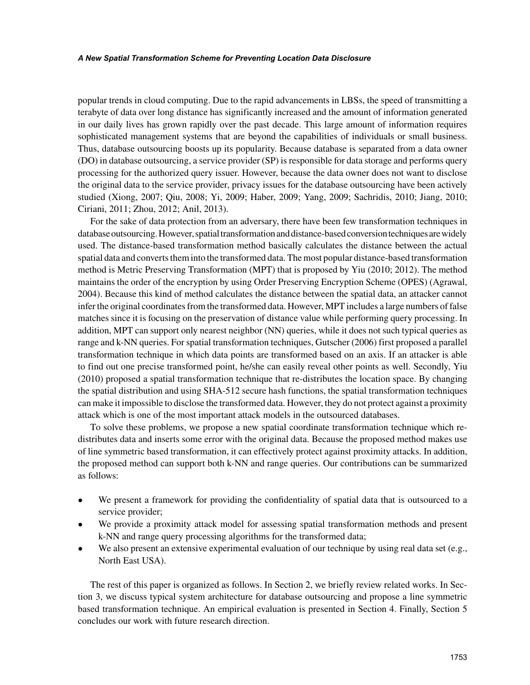popular trends in cloud computing. Due to the rapid advancements in LBSs, the speed of transmitting a terabyte of data over long distance has significantly increased and the amount of information generated in our daily lives has grown rapidly over the past decade. This large amount of information requires sophisticated management systems that are beyond the capabilities of individuals or small business. Thus, database outsourcing boosts up its popularity. Because database is separated from a data owner (DO) in database outsourcing, a service provider (SP) is responsible for data storage and performs query processing for the authorized query issuer. However, because the data owner does not want to disclose the original data to the service provider, privacy issues for the database outsourcing have been actively studied (Xiong, 2007; Qiu, 2008; Yi, 2009; Haber, 2009; Yang, 2009; Sachridis, 2010; Jiang, 2010; Ciriani, 2011; Zhou, 2012; Anil, 2013).

For the sake of data protection from an adversary, there have been few transformation techniques in database outsourcing. However, spatial transformation and distance-based conversion techniques are widely used. The distance-based transformation method basically calculates the distance between the actual spatial data and converts them into the transformed data. The most popular distance-based transformation method is Metric Preserving Transformation (MPT) that is proposed by Yiu (2010; 2012). The method maintains the order of the encryption by using Order Preserving Encryption Scheme (OPES) (Agrawal, 2004). Because this kind of method calculates the distance between the spatial data, an attacker cannot infer the original coordinates from the transformed data. However, MPT includes a large numbers of false matches since it is focusing on the preservation of distance value while performing query processing. In addition, MPT can support only nearest neighbor (NN) queries, while it does not such typical queries as range and k-NN queries. For spatial transformation techniques, Gutscher (2006) first proposed a parallel transformation technique in which data points are transformed based on an axis. If an attacker is able to find out one precise transformed point, he/she can easily reveal other points as well. Secondly, Yiu (2010) proposed a spatial transformation technique that re-distributes the location space. By changing the spatial distribution and using SHA-512 secure hash functions, the spatial transformation techniques can make it impossible to disclose the transformed data. However, they do not protect against a proximity attack which is one of the most important attack models in the outsourced databases.

To solve these problems, we propose a new spatial coordinate transformation technique which redistributes data and inserts some error with the original data. Because the proposed method makes use of line symmetric based transformation, it can effectively protect against proximity attacks. In addition, the proposed method can support both k-NN and range queries. Our contributions can be summarized as follows:

- We present a framework for providing the confidentiality of spatial data that is outsourced to a service provider;
- We provide a proximity attack model for assessing spatial transformation methods and present k-NN and range query processing algorithms for the transformed data;
- We also present an extensive experimental evaluation of our technique by using real data set (e.g., North East USA).

The rest of this paper is organized as follows. In Section 2, we briefly review related works. In Section 3, we discuss typical system architecture for database outsourcing and propose a line symmetric based transformation technique. An empirical evaluation is presented in Section 4. Finally, Section 5 concludes our work with future research direction.